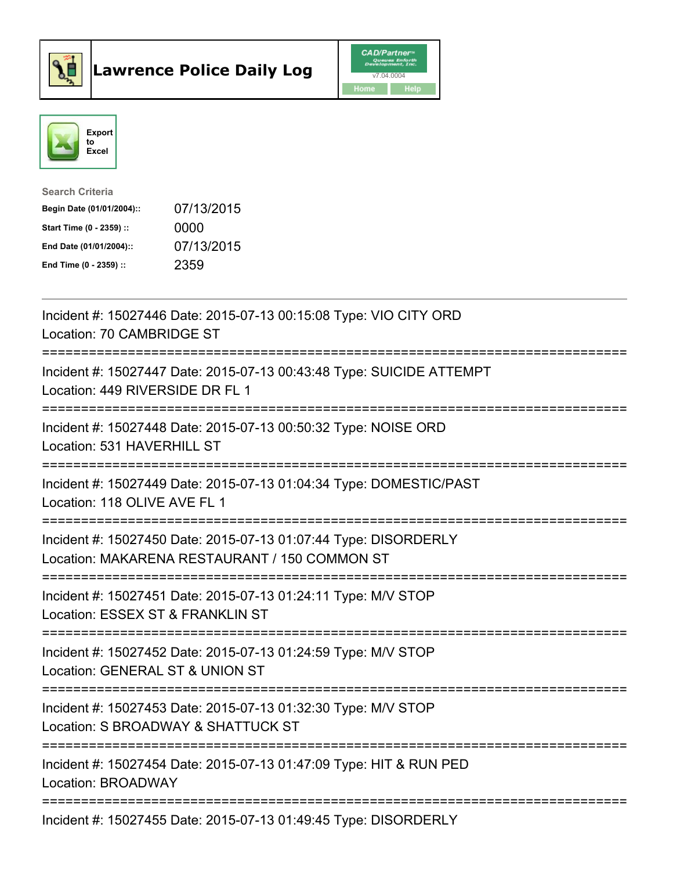



| <b>Search Criteria</b>    |            |
|---------------------------|------------|
| Begin Date (01/01/2004):: | 07/13/2015 |
| Start Time (0 - 2359) ::  | 0000       |
| End Date (01/01/2004)::   | 07/13/2015 |
| End Time $(0 - 2359)$ :   | 2359       |

| Incident #: 15027446 Date: 2015-07-13 00:15:08 Type: VIO CITY ORD<br>Location: 70 CAMBRIDGE ST                                                   |
|--------------------------------------------------------------------------------------------------------------------------------------------------|
| Incident #: 15027447 Date: 2015-07-13 00:43:48 Type: SUICIDE ATTEMPT<br>Location: 449 RIVERSIDE DR FL 1                                          |
| Incident #: 15027448 Date: 2015-07-13 00:50:32 Type: NOISE ORD<br>Location: 531 HAVERHILL ST                                                     |
| Incident #: 15027449 Date: 2015-07-13 01:04:34 Type: DOMESTIC/PAST<br>Location: 118 OLIVE AVE FL 1                                               |
| Incident #: 15027450 Date: 2015-07-13 01:07:44 Type: DISORDERLY<br>Location: MAKARENA RESTAURANT / 150 COMMON ST<br>============================ |
| Incident #: 15027451 Date: 2015-07-13 01:24:11 Type: M/V STOP<br>Location: ESSEX ST & FRANKLIN ST<br>__________________________                  |
| Incident #: 15027452 Date: 2015-07-13 01:24:59 Type: M/V STOP<br>Location: GENERAL ST & UNION ST<br>===========================                  |
| Incident #: 15027453 Date: 2015-07-13 01:32:30 Type: M/V STOP<br>Location: S BROADWAY & SHATTUCK ST                                              |
| Incident #: 15027454 Date: 2015-07-13 01:47:09 Type: HIT & RUN PED<br><b>Location: BROADWAY</b>                                                  |
| Incident #: 15027455 Date: 2015-07-13 01:49:45 Type: DISORDERLY                                                                                  |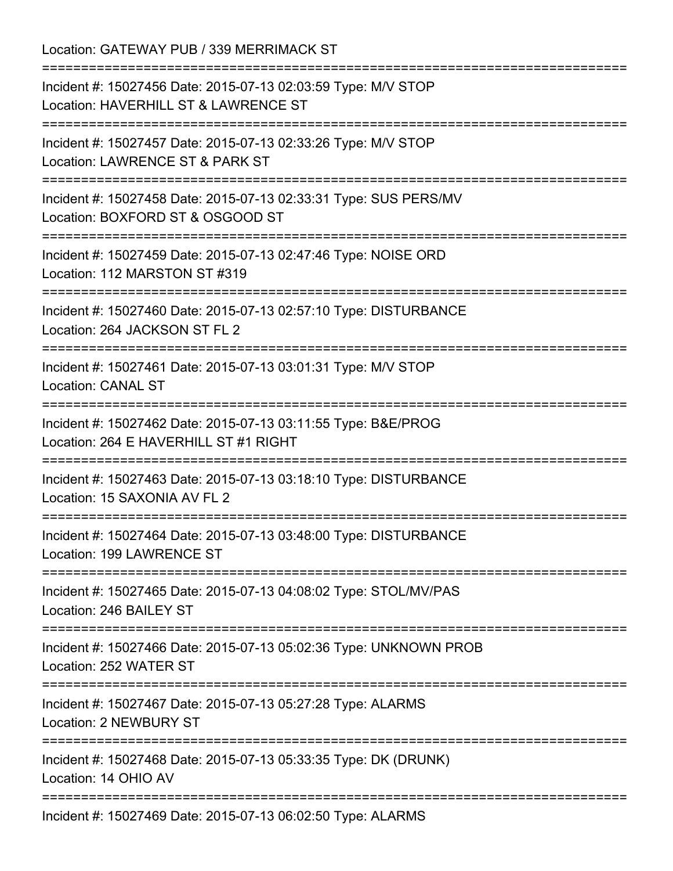Location: GATEWAY PUB / 339 MERRIMACK ST =========================================================================== Incident #: 15027456 Date: 2015-07-13 02:03:59 Type: M/V STOP Location: HAVERHILL ST & LAWRENCE ST =========================================================================== Incident #: 15027457 Date: 2015-07-13 02:33:26 Type: M/V STOP Location: LAWRENCE ST & PARK ST =========================================================================== Incident #: 15027458 Date: 2015-07-13 02:33:31 Type: SUS PERS/MV Location: BOXFORD ST & OSGOOD ST =========================================================================== Incident #: 15027459 Date: 2015-07-13 02:47:46 Type: NOISE ORD Location: 112 MARSTON ST #319 =========================================================================== Incident #: 15027460 Date: 2015-07-13 02:57:10 Type: DISTURBANCE Location: 264 JACKSON ST FL 2 =========================================================================== Incident #: 15027461 Date: 2015-07-13 03:01:31 Type: M/V STOP Location: CANAL ST =========================================================================== Incident #: 15027462 Date: 2015-07-13 03:11:55 Type: B&E/PROG Location: 264 E HAVERHILL ST #1 RIGHT =========================================================================== Incident #: 15027463 Date: 2015-07-13 03:18:10 Type: DISTURBANCE Location: 15 SAXONIA AV FL 2 =========================================================================== Incident #: 15027464 Date: 2015-07-13 03:48:00 Type: DISTURBANCE Location: 199 LAWRENCE ST =========================================================================== Incident #: 15027465 Date: 2015-07-13 04:08:02 Type: STOL/MV/PAS Location: 246 BAILEY ST =========================================================================== Incident #: 15027466 Date: 2015-07-13 05:02:36 Type: UNKNOWN PROB Location: 252 WATER ST =========================================================================== Incident #: 15027467 Date: 2015-07-13 05:27:28 Type: ALARMS Location: 2 NEWBURY ST =========================================================================== Incident #: 15027468 Date: 2015-07-13 05:33:35 Type: DK (DRUNK) Location: 14 OHIO AV =========================================================================== Incident #: 15027469 Date: 2015-07-13 06:02:50 Type: ALARMS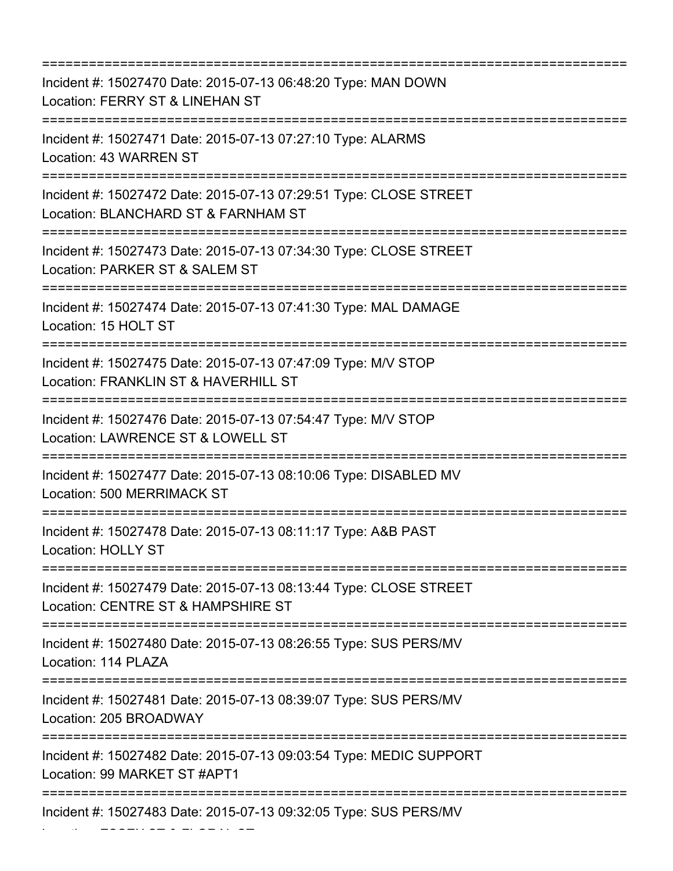=========================================================================== Incident #: 15027470 Date: 2015-07-13 06:48:20 Type: MAN DOWN Location: FERRY ST & LINEHAN ST =========================================================================== Incident #: 15027471 Date: 2015-07-13 07:27:10 Type: ALARMS Location: 43 WARREN ST =========================================================================== Incident #: 15027472 Date: 2015-07-13 07:29:51 Type: CLOSE STREET Location: BLANCHARD ST & FARNHAM ST =========================================================================== Incident #: 15027473 Date: 2015-07-13 07:34:30 Type: CLOSE STREET Location: PARKER ST & SALEM ST =========================================================================== Incident #: 15027474 Date: 2015-07-13 07:41:30 Type: MAL DAMAGE Location: 15 HOLT ST =========================================================================== Incident #: 15027475 Date: 2015-07-13 07:47:09 Type: M/V STOP Location: FRANKLIN ST & HAVERHILL ST =========================================================================== Incident #: 15027476 Date: 2015-07-13 07:54:47 Type: M/V STOP Location: LAWRENCE ST & LOWELL ST =========================================================================== Incident #: 15027477 Date: 2015-07-13 08:10:06 Type: DISABLED MV Location: 500 MERRIMACK ST =========================================================================== Incident #: 15027478 Date: 2015-07-13 08:11:17 Type: A&B PAST Location: HOLLY ST =========================================================================== Incident #: 15027479 Date: 2015-07-13 08:13:44 Type: CLOSE STREET Location: CENTRE ST & HAMPSHIRE ST =========================================================================== Incident #: 15027480 Date: 2015-07-13 08:26:55 Type: SUS PERS/MV Location: 114 PLAZA =========================================================================== Incident #: 15027481 Date: 2015-07-13 08:39:07 Type: SUS PERS/MV Location: 205 BROADWAY =========================================================================== Incident #: 15027482 Date: 2015-07-13 09:03:54 Type: MEDIC SUPPORT Location: 99 MARKET ST #APT1 =========================================================================== Incident #: 15027483 Date: 2015-07-13 09:32:05 Type: SUS PERS/MV

Location: ESSEX ST & FLORAL ST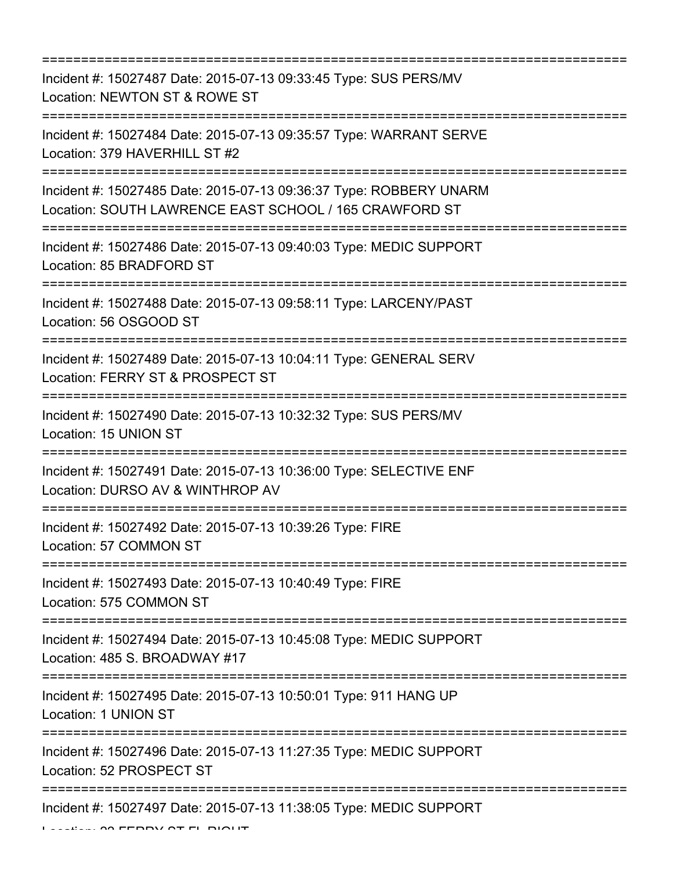| Incident #: 15027487 Date: 2015-07-13 09:33:45 Type: SUS PERS/MV<br>Location: NEWTON ST & ROWE ST                                                      |
|--------------------------------------------------------------------------------------------------------------------------------------------------------|
| Incident #: 15027484 Date: 2015-07-13 09:35:57 Type: WARRANT SERVE<br>Location: 379 HAVERHILL ST #2                                                    |
| Incident #: 15027485 Date: 2015-07-13 09:36:37 Type: ROBBERY UNARM<br>Location: SOUTH LAWRENCE EAST SCHOOL / 165 CRAWFORD ST<br>:===================== |
| Incident #: 15027486 Date: 2015-07-13 09:40:03 Type: MEDIC SUPPORT<br>Location: 85 BRADFORD ST                                                         |
| Incident #: 15027488 Date: 2015-07-13 09:58:11 Type: LARCENY/PAST<br>Location: 56 OSGOOD ST                                                            |
| Incident #: 15027489 Date: 2015-07-13 10:04:11 Type: GENERAL SERV<br>Location: FERRY ST & PROSPECT ST                                                  |
| Incident #: 15027490 Date: 2015-07-13 10:32:32 Type: SUS PERS/MV<br>Location: 15 UNION ST                                                              |
| Incident #: 15027491 Date: 2015-07-13 10:36:00 Type: SELECTIVE ENF<br>Location: DURSO AV & WINTHROP AV                                                 |
| Incident #: 15027492 Date: 2015-07-13 10:39:26 Type: FIRE<br>Location: 57 COMMON ST                                                                    |
| Incident #: 15027493 Date: 2015-07-13 10:40:49 Type: FIRE<br>Location: 575 COMMON ST                                                                   |
| Incident #: 15027494 Date: 2015-07-13 10:45:08 Type: MEDIC SUPPORT<br>Location: 485 S. BROADWAY #17                                                    |
| :====================================<br>Incident #: 15027495 Date: 2015-07-13 10:50:01 Type: 911 HANG UP<br>Location: 1 UNION ST                      |
| Incident #: 15027496 Date: 2015-07-13 11:27:35 Type: MEDIC SUPPORT<br>Location: 52 PROSPECT ST                                                         |
| Incident #: 15027497 Date: 2015-07-13 11:38:05 Type: MEDIC SUPPORT                                                                                     |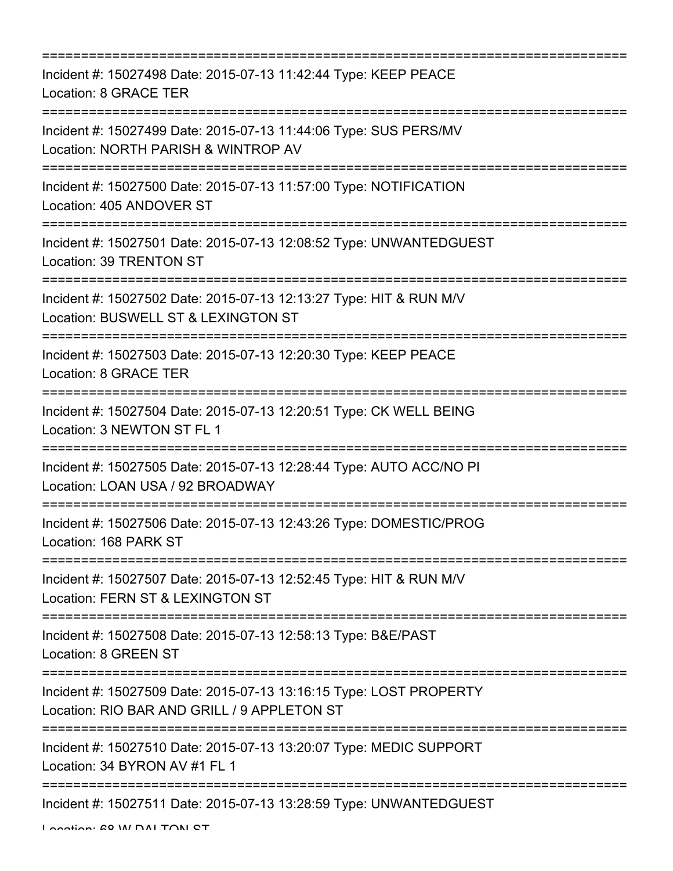| ;=============================<br>===============================                                                                                                                |
|----------------------------------------------------------------------------------------------------------------------------------------------------------------------------------|
| Incident #: 15027498 Date: 2015-07-13 11:42:44 Type: KEEP PEACE<br>Location: 8 GRACE TER<br>====================================                                                 |
| Incident #: 15027499 Date: 2015-07-13 11:44:06 Type: SUS PERS/MV<br>Location: NORTH PARISH & WINTROP AV                                                                          |
| Incident #: 15027500 Date: 2015-07-13 11:57:00 Type: NOTIFICATION<br>Location: 405 ANDOVER ST<br>-----------------------------                                                   |
| Incident #: 15027501 Date: 2015-07-13 12:08:52 Type: UNWANTEDGUEST<br>Location: 39 TRENTON ST                                                                                    |
| Incident #: 15027502 Date: 2015-07-13 12:13:27 Type: HIT & RUN M/V<br>Location: BUSWELL ST & LEXINGTON ST                                                                        |
| Incident #: 15027503 Date: 2015-07-13 12:20:30 Type: KEEP PEACE<br><b>Location: 8 GRACE TER</b>                                                                                  |
| Incident #: 15027504 Date: 2015-07-13 12:20:51 Type: CK WELL BEING<br>Location: 3 NEWTON ST FL 1                                                                                 |
| Incident #: 15027505 Date: 2015-07-13 12:28:44 Type: AUTO ACC/NO PI<br>Location: LOAN USA / 92 BROADWAY                                                                          |
| Incident #: 15027506 Date: 2015-07-13 12:43:26 Type: DOMESTIC/PROG<br>Location: 168 PARK ST                                                                                      |
| ====================================<br>------------------------<br>Incident #: 15027507 Date: 2015-07-13 12:52:45 Type: HIT & RUN M/V<br>Location: FERN ST & LEXINGTON ST       |
| Incident #: 15027508 Date: 2015-07-13 12:58:13 Type: B&E/PAST<br>Location: 8 GREEN ST                                                                                            |
| ======================<br>=================================<br>Incident #: 15027509 Date: 2015-07-13 13:16:15 Type: LOST PROPERTY<br>Location: RIO BAR AND GRILL / 9 APPLETON ST |
| Incident #: 15027510 Date: 2015-07-13 13:20:07 Type: MEDIC SUPPORT<br>Location: 34 BYRON AV #1 FL 1                                                                              |
| =====================================<br>Incident #: 15027511 Date: 2015-07-13 13:28:59 Type: UNWANTEDGUEST                                                                      |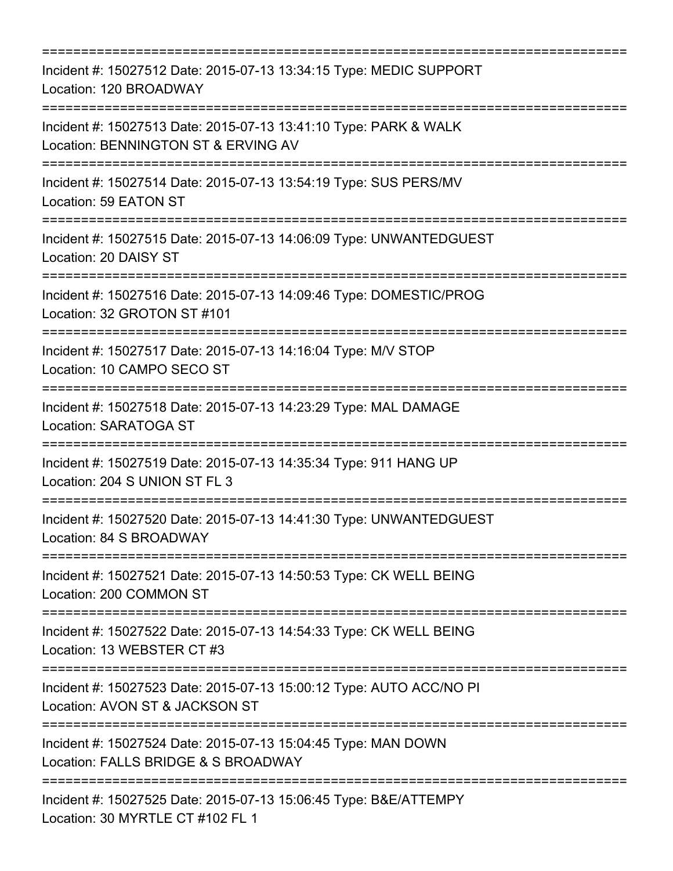| Incident #: 15027512 Date: 2015-07-13 13:34:15 Type: MEDIC SUPPORT<br>Location: 120 BROADWAY                                            |
|-----------------------------------------------------------------------------------------------------------------------------------------|
| Incident #: 15027513 Date: 2015-07-13 13:41:10 Type: PARK & WALK<br>Location: BENNINGTON ST & ERVING AV                                 |
| Incident #: 15027514 Date: 2015-07-13 13:54:19 Type: SUS PERS/MV<br>Location: 59 EATON ST                                               |
| Incident #: 15027515 Date: 2015-07-13 14:06:09 Type: UNWANTEDGUEST<br>Location: 20 DAISY ST<br>===================================      |
| Incident #: 15027516 Date: 2015-07-13 14:09:46 Type: DOMESTIC/PROG<br>Location: 32 GROTON ST #101                                       |
| Incident #: 15027517 Date: 2015-07-13 14:16:04 Type: M/V STOP<br>Location: 10 CAMPO SECO ST                                             |
| ============================<br>Incident #: 15027518 Date: 2015-07-13 14:23:29 Type: MAL DAMAGE<br>Location: SARATOGA ST                |
| ==================================<br>Incident #: 15027519 Date: 2015-07-13 14:35:34 Type: 911 HANG UP<br>Location: 204 S UNION ST FL 3 |
| Incident #: 15027520 Date: 2015-07-13 14:41:30 Type: UNWANTEDGUEST<br>Location: 84 S BROADWAY                                           |
| Incident #: 15027521 Date: 2015-07-13 14:50:53 Type: CK WELL BEING<br>Location: 200 COMMON ST                                           |
| Incident #: 15027522 Date: 2015-07-13 14:54:33 Type: CK WELL BEING<br>Location: 13 WEBSTER CT #3                                        |
| Incident #: 15027523 Date: 2015-07-13 15:00:12 Type: AUTO ACC/NO PI<br>Location: AVON ST & JACKSON ST                                   |
| Incident #: 15027524 Date: 2015-07-13 15:04:45 Type: MAN DOWN<br>Location: FALLS BRIDGE & S BROADWAY                                    |
| Incident #: 15027525 Date: 2015-07-13 15:06:45 Type: B&E/ATTEMPY<br>Location: 30 MYRTLE CT #102 FL 1                                    |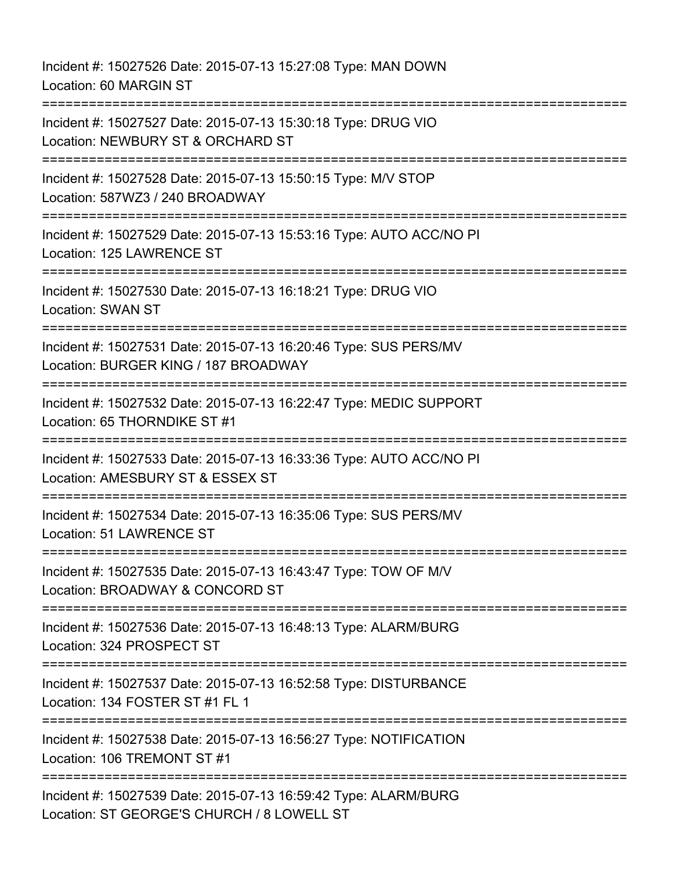Incident #: 15027526 Date: 2015-07-13 15:27:08 Type: MAN DOWN Location: 60 MARGIN ST =========================================================================== Incident #: 15027527 Date: 2015-07-13 15:30:18 Type: DRUG VIO Location: NEWBURY ST & ORCHARD ST =========================================================================== Incident #: 15027528 Date: 2015-07-13 15:50:15 Type: M/V STOP Location: 587WZ3 / 240 BROADWAY =========================================================================== Incident #: 15027529 Date: 2015-07-13 15:53:16 Type: AUTO ACC/NO PI Location: 125 LAWRENCE ST =========================================================================== Incident #: 15027530 Date: 2015-07-13 16:18:21 Type: DRUG VIO Location: SWAN ST =========================================================================== Incident #: 15027531 Date: 2015-07-13 16:20:46 Type: SUS PERS/MV Location: BURGER KING / 187 BROADWAY =========================================================================== Incident #: 15027532 Date: 2015-07-13 16:22:47 Type: MEDIC SUPPORT Location: 65 THORNDIKE ST #1 =========================================================================== Incident #: 15027533 Date: 2015-07-13 16:33:36 Type: AUTO ACC/NO PI Location: AMESBURY ST & ESSEX ST =========================================================================== Incident #: 15027534 Date: 2015-07-13 16:35:06 Type: SUS PERS/MV Location: 51 LAWRENCE ST =========================================================================== Incident #: 15027535 Date: 2015-07-13 16:43:47 Type: TOW OF M/V Location: BROADWAY & CONCORD ST =========================================================================== Incident #: 15027536 Date: 2015-07-13 16:48:13 Type: ALARM/BURG Location: 324 PROSPECT ST =========================================================================== Incident #: 15027537 Date: 2015-07-13 16:52:58 Type: DISTURBANCE Location: 134 FOSTER ST #1 FL 1 =========================================================================== Incident #: 15027538 Date: 2015-07-13 16:56:27 Type: NOTIFICATION Location: 106 TREMONT ST #1 =========================================================================== Incident #: 15027539 Date: 2015-07-13 16:59:42 Type: ALARM/BURG Location: ST GEORGE'S CHURCH / 8 LOWELL ST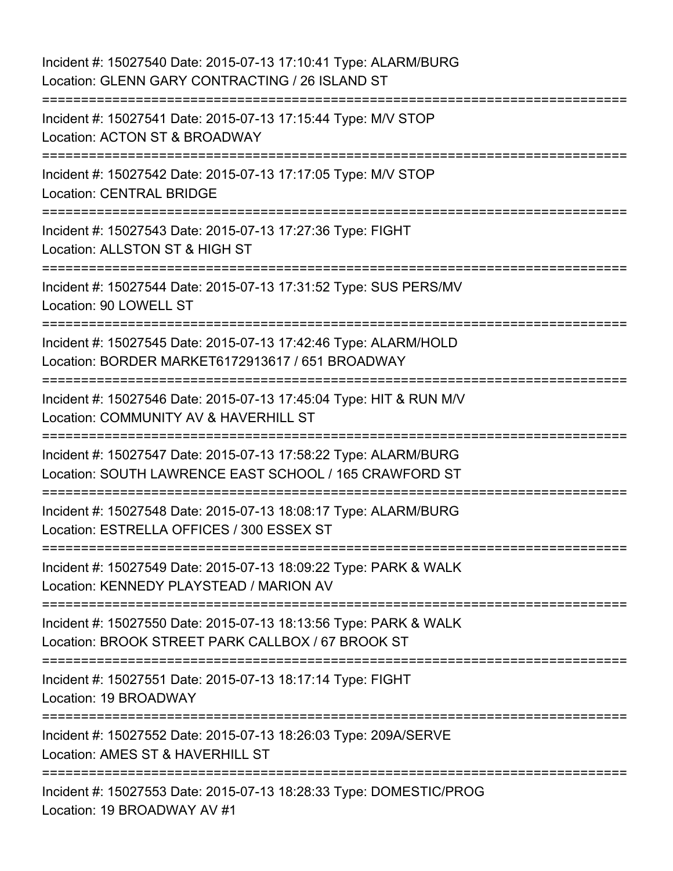| Incident #: 15027540 Date: 2015-07-13 17:10:41 Type: ALARM/BURG<br>Location: GLENN GARY CONTRACTING / 26 ISLAND ST                       |
|------------------------------------------------------------------------------------------------------------------------------------------|
| Incident #: 15027541 Date: 2015-07-13 17:15:44 Type: M/V STOP<br>Location: ACTON ST & BROADWAY                                           |
| Incident #: 15027542 Date: 2015-07-13 17:17:05 Type: M/V STOP<br><b>Location: CENTRAL BRIDGE</b><br>:=================================== |
| Incident #: 15027543 Date: 2015-07-13 17:27:36 Type: FIGHT<br>Location: ALLSTON ST & HIGH ST                                             |
| Incident #: 15027544 Date: 2015-07-13 17:31:52 Type: SUS PERS/MV<br>Location: 90 LOWELL ST                                               |
| Incident #: 15027545 Date: 2015-07-13 17:42:46 Type: ALARM/HOLD<br>Location: BORDER MARKET6172913617 / 651 BROADWAY                      |
| Incident #: 15027546 Date: 2015-07-13 17:45:04 Type: HIT & RUN M/V<br>Location: COMMUNITY AV & HAVERHILL ST                              |
| Incident #: 15027547 Date: 2015-07-13 17:58:22 Type: ALARM/BURG<br>Location: SOUTH LAWRENCE EAST SCHOOL / 165 CRAWFORD ST                |
| Incident #: 15027548 Date: 2015-07-13 18:08:17 Type: ALARM/BURG<br>Location: ESTRELLA OFFICES / 300 ESSEX ST                             |
| Incident #: 15027549 Date: 2015-07-13 18:09:22 Type: PARK & WALK<br>Location: KENNEDY PLAYSTEAD / MARION AV                              |
| Incident #: 15027550 Date: 2015-07-13 18:13:56 Type: PARK & WALK<br>Location: BROOK STREET PARK CALLBOX / 67 BROOK ST                    |
| Incident #: 15027551 Date: 2015-07-13 18:17:14 Type: FIGHT<br>Location: 19 BROADWAY                                                      |
| Incident #: 15027552 Date: 2015-07-13 18:26:03 Type: 209A/SERVE<br>Location: AMES ST & HAVERHILL ST                                      |
| Incident #: 15027553 Date: 2015-07-13 18:28:33 Type: DOMESTIC/PROG<br>Location: 19 BROADWAY AV #1                                        |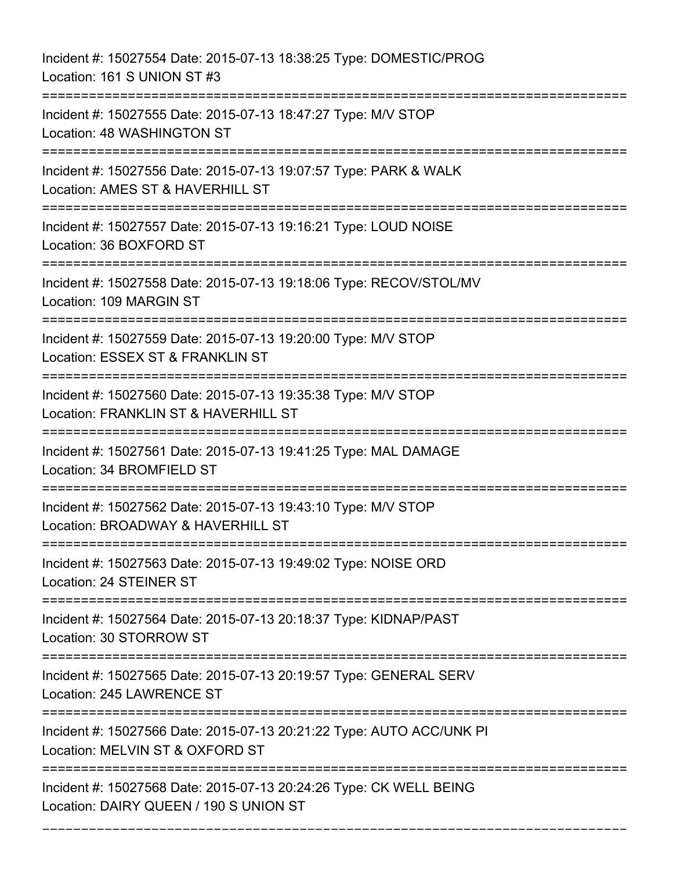Incident #: 15027554 Date: 2015-07-13 18:38:25 Type: DOMESTIC/PROG Location: 161 S UNION ST #3 =========================================================================== Incident #: 15027555 Date: 2015-07-13 18:47:27 Type: M/V STOP Location: 48 WASHINGTON ST =========================================================================== Incident #: 15027556 Date: 2015-07-13 19:07:57 Type: PARK & WALK Location: AMES ST & HAVERHILL ST =========================================================================== Incident #: 15027557 Date: 2015-07-13 19:16:21 Type: LOUD NOISE Location: 36 BOXFORD ST =========================================================================== Incident #: 15027558 Date: 2015-07-13 19:18:06 Type: RECOV/STOL/MV Location: 109 MARGIN ST =========================================================================== Incident #: 15027559 Date: 2015-07-13 19:20:00 Type: M/V STOP Location: ESSEX ST & FRANKLIN ST =========================================================================== Incident #: 15027560 Date: 2015-07-13 19:35:38 Type: M/V STOP Location: FRANKLIN ST & HAVERHILL ST =========================================================================== Incident #: 15027561 Date: 2015-07-13 19:41:25 Type: MAL DAMAGE Location: 34 BROMFIELD ST =========================================================================== Incident #: 15027562 Date: 2015-07-13 19:43:10 Type: M/V STOP Location: BROADWAY & HAVERHILL ST =========================================================================== Incident #: 15027563 Date: 2015-07-13 19:49:02 Type: NOISE ORD Location: 24 STEINER ST =========================================================================== Incident #: 15027564 Date: 2015-07-13 20:18:37 Type: KIDNAP/PAST Location: 30 STORROW ST =========================================================================== Incident #: 15027565 Date: 2015-07-13 20:19:57 Type: GENERAL SERV Location: 245 LAWRENCE ST =========================================================================== Incident #: 15027566 Date: 2015-07-13 20:21:22 Type: AUTO ACC/UNK PI Location: MELVIN ST & OXFORD ST =========================================================================== Incident #: 15027568 Date: 2015-07-13 20:24:26 Type: CK WELL BEING Location: DAIRY QUEEN / 190 S UNION ST

===========================================================================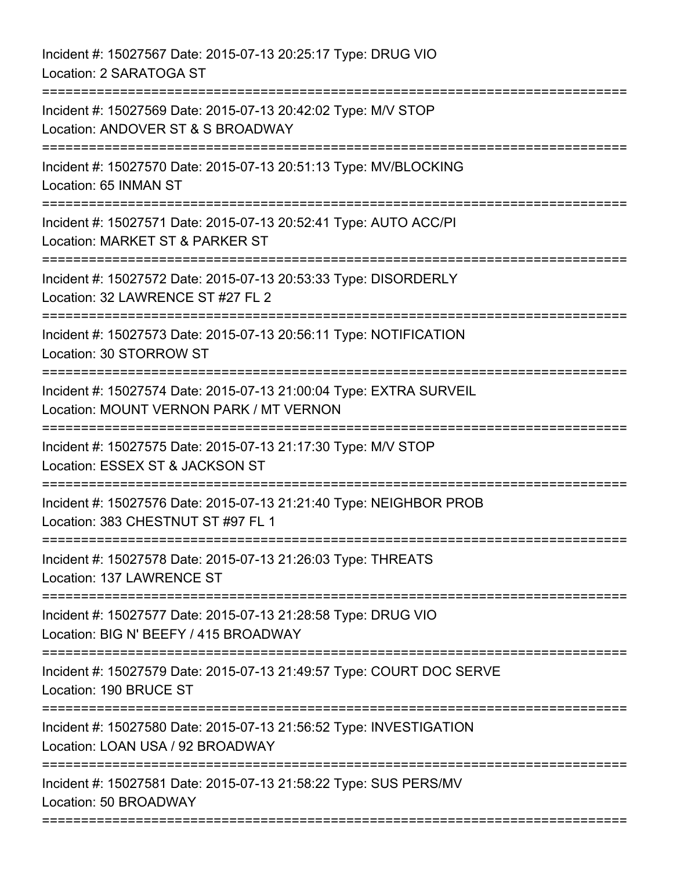Incident #: 15027567 Date: 2015-07-13 20:25:17 Type: DRUG VIO Location: 2 SARATOGA ST =========================================================================== Incident #: 15027569 Date: 2015-07-13 20:42:02 Type: M/V STOP Location: ANDOVER ST & S BROADWAY =========================================================================== Incident #: 15027570 Date: 2015-07-13 20:51:13 Type: MV/BLOCKING Location: 65 INMAN ST =========================================================================== Incident #: 15027571 Date: 2015-07-13 20:52:41 Type: AUTO ACC/PI Location: MARKET ST & PARKER ST =========================================================================== Incident #: 15027572 Date: 2015-07-13 20:53:33 Type: DISORDERLY Location: 32 LAWRENCE ST #27 FL 2 =========================================================================== Incident #: 15027573 Date: 2015-07-13 20:56:11 Type: NOTIFICATION Location: 30 STORROW ST =========================================================================== Incident #: 15027574 Date: 2015-07-13 21:00:04 Type: EXTRA SURVEIL Location: MOUNT VERNON PARK / MT VERNON =========================================================================== Incident #: 15027575 Date: 2015-07-13 21:17:30 Type: M/V STOP Location: ESSEX ST & JACKSON ST =========================================================================== Incident #: 15027576 Date: 2015-07-13 21:21:40 Type: NEIGHBOR PROB Location: 383 CHESTNUT ST #97 FL 1 =========================================================================== Incident #: 15027578 Date: 2015-07-13 21:26:03 Type: THREATS Location: 137 LAWRENCE ST =========================================================================== Incident #: 15027577 Date: 2015-07-13 21:28:58 Type: DRUG VIO Location: BIG N' BEEFY / 415 BROADWAY =========================================================================== Incident #: 15027579 Date: 2015-07-13 21:49:57 Type: COURT DOC SERVE Location: 190 BRUCE ST =========================================================================== Incident #: 15027580 Date: 2015-07-13 21:56:52 Type: INVESTIGATION Location: LOAN USA / 92 BROADWAY =========================================================================== Incident #: 15027581 Date: 2015-07-13 21:58:22 Type: SUS PERS/MV Location: 50 BROADWAY

===========================================================================